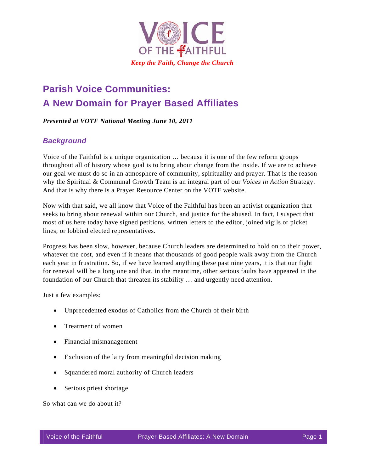

# **Parish Voice Communities: A New Domain for Prayer Based Affiliates**

#### *Presented at VOTF National Meeting June 10, 2011*

#### *Background*

Voice of the Faithful is a unique organization … because it is one of the few reform groups throughout all of history whose goal is to bring about change from the inside. If we are to achieve our goal we must do so in an atmosphere of community, spirituality and prayer. That is the reason why the Spiritual & Communal Growth Team is an integral part of our *Voices in Action* Strategy. And that is why there is a Prayer Resource Center on the VOTF website.

Now with that said, we all know that Voice of the Faithful has been an activist organization that seeks to bring about renewal within our Church, and justice for the abused. In fact, I suspect that most of us here today have signed petitions, written letters to the editor, joined vigils or picket lines, or lobbied elected representatives.

Progress has been slow, however, because Church leaders are determined to hold on to their power, whatever the cost, and even if it means that thousands of good people walk away from the Church each year in frustration. So, if we have learned anything these past nine years, it is that our fight for renewal will be a long one and that, in the meantime, other serious faults have appeared in the foundation of our Church that threaten its stability … and urgently need attention.

Just a few examples:

- Unprecedented exodus of Catholics from the Church of their birth
- Treatment of women
- Financial mismanagement
- Exclusion of the laity from meaningful decision making
- Squandered moral authority of Church leaders
- Serious priest shortage

So what can we do about it?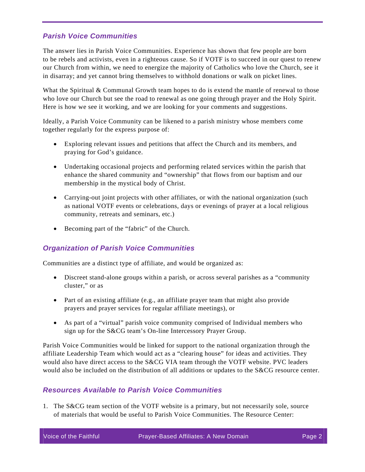# *Parish Voice Communities*

The answer lies in Parish Voice Communities. Experience has shown that few people are born to be rebels and activists, even in a righteous cause. So if VOTF is to succeed in our quest to renew our Church from within, we need to energize the majority of Catholics who love the Church, see it in disarray; and yet cannot bring themselves to withhold donations or walk on picket lines.

What the Spiritual & Communal Growth team hopes to do is extend the mantle of renewal to those who love our Church but see the road to renewal as one going through prayer and the Holy Spirit. Here is how we see it working, and we are looking for your comments and suggestions.

Ideally, a Parish Voice Community can be likened to a parish ministry whose members come together regularly for the express purpose of:

- Exploring relevant issues and petitions that affect the Church and its members, and praying for God's guidance.
- Undertaking occasional projects and performing related services within the parish that enhance the shared community and "ownership" that flows from our baptism and our membership in the mystical body of Christ.
- Carrying-out joint projects with other affiliates, or with the national organization (such as national VOTF events or celebrations, days or evenings of prayer at a local religious community, retreats and seminars, etc.)
- Becoming part of the "fabric" of the Church.

# *Organization of Parish Voice Communities*

Communities are a distinct type of affiliate, and would be organized as:

- Discreet stand-alone groups within a parish, or across several parishes as a "community cluster," or as
- Part of an existing affiliate (e.g., an affiliate prayer team that might also provide prayers and prayer services for regular affiliate meetings), or
- As part of a "virtual" parish voice community comprised of Individual members who sign up for the S&CG team's On-line Intercessory Prayer Group.

Parish Voice Communities would be linked for support to the national organization through the affiliate Leadership Team which would act as a "clearing house" for ideas and activities. They would also have direct access to the S&CG VIA team through the VOTF website. PVC leaders would also be included on the distribution of all additions or updates to the S&CG resource center.

# *Resources Available to Parish Voice Communities*

1. The S&CG team section of the VOTF website is a primary, but not necessarily sole, source of materials that would be useful to Parish Voice Communities. The Resource Center: